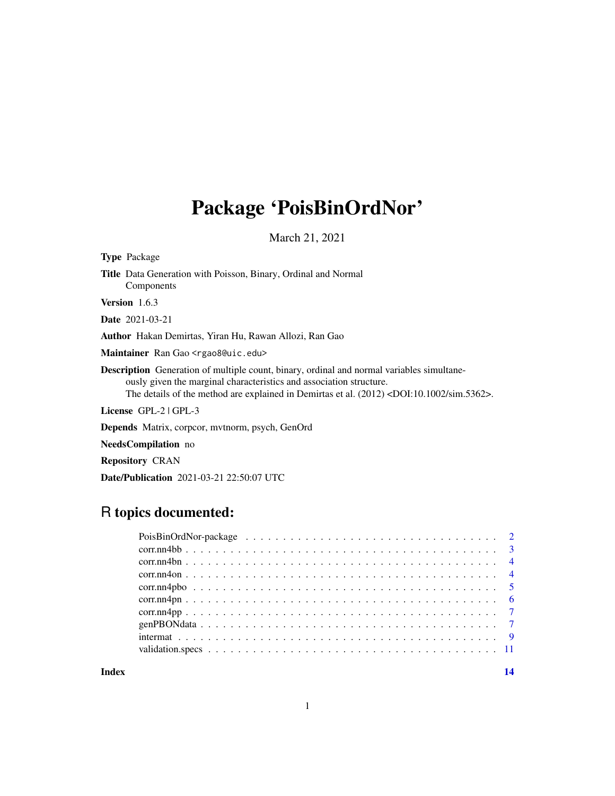# Package 'PoisBinOrdNor'

March 21, 2021

| <b>Type Package</b> |                                                                                                                                                                                                                                                                                         |
|---------------------|-----------------------------------------------------------------------------------------------------------------------------------------------------------------------------------------------------------------------------------------------------------------------------------------|
|                     | <b>Title</b> Data Generation with Poisson, Binary, Ordinal and Normal<br>Components                                                                                                                                                                                                     |
| Version 1.6.3       |                                                                                                                                                                                                                                                                                         |
|                     | <b>Date</b> 2021-03-21                                                                                                                                                                                                                                                                  |
|                     | <b>Author</b> Hakan Demirtas, Yiran Hu, Rawan Allozi, Ran Gao                                                                                                                                                                                                                           |
|                     | Maintainer Ran Gao <rgao8@uic.edu></rgao8@uic.edu>                                                                                                                                                                                                                                      |
|                     | <b>Description</b> Generation of multiple count, binary, ordinal and normal variables simultane-<br>ously given the marginal characteristics and association structure.<br>The details of the method are explained in Demirtas et al. $(2012)$ <doi:10.1002 sim.5362="">.</doi:10.1002> |
|                     | <b>License</b> $GPL-2$ $GPL-3$                                                                                                                                                                                                                                                          |
|                     | <b>Depends</b> Matrix, corpcor, mythorm, psych, GenOrd                                                                                                                                                                                                                                  |
|                     | NeedsCompilation no                                                                                                                                                                                                                                                                     |

Repository CRAN

Date/Publication 2021-03-21 22:50:07 UTC

# R topics documented:

**Index** 2008 **[14](#page-13-0)**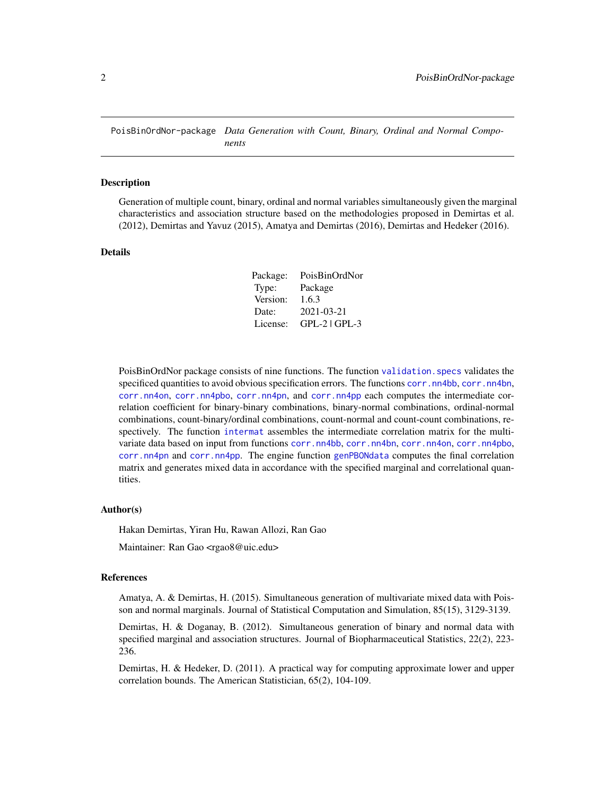<span id="page-1-0"></span>PoisBinOrdNor-package *Data Generation with Count, Binary, Ordinal and Normal Components*

#### Description

Generation of multiple count, binary, ordinal and normal variables simultaneously given the marginal characteristics and association structure based on the methodologies proposed in Demirtas et al. (2012), Demirtas and Yavuz (2015), Amatya and Demirtas (2016), Demirtas and Hedeker (2016).

#### Details

| Package: | PoisBinOrdNor |
|----------|---------------|
| Type:    | Package       |
| Version: | 1.6.3         |
| Date:    | 2021-03-21    |
| License: | GPL-2   GPL-3 |

PoisBinOrdNor package consists of nine functions. The function [validation.specs](#page-10-1) validates the specificed quantities to avoid obvious specification errors. The functions [corr.nn4bb](#page-2-1), [corr.nn4bn](#page-3-1), [corr.nn4on](#page-3-2), [corr.nn4pbo](#page-4-1), [corr.nn4pn](#page-5-1), and [corr.nn4pp](#page-6-1) each computes the intermediate correlation coefficient for binary-binary combinations, binary-normal combinations, ordinal-normal combinations, count-binary/ordinal combinations, count-normal and count-count combinations, respectively. The function [intermat](#page-8-1) assembles the intermediate correlation matrix for the multivariate data based on input from functions [corr.nn4bb](#page-2-1), [corr.nn4bn](#page-3-1), [corr.nn4on](#page-3-2), [corr.nn4pbo](#page-4-1), [corr.nn4pn](#page-5-1) and [corr.nn4pp](#page-6-1). The engine function [genPBONdata](#page-6-2) computes the final correlation matrix and generates mixed data in accordance with the specified marginal and correlational quantities.

#### Author(s)

Hakan Demirtas, Yiran Hu, Rawan Allozi, Ran Gao

Maintainer: Ran Gao <rgao8@uic.edu>

#### References

Amatya, A. & Demirtas, H. (2015). Simultaneous generation of multivariate mixed data with Poisson and normal marginals. Journal of Statistical Computation and Simulation, 85(15), 3129-3139.

Demirtas, H. & Doganay, B. (2012). Simultaneous generation of binary and normal data with specified marginal and association structures. Journal of Biopharmaceutical Statistics, 22(2), 223- 236.

Demirtas, H. & Hedeker, D. (2011). A practical way for computing approximate lower and upper correlation bounds. The American Statistician, 65(2), 104-109.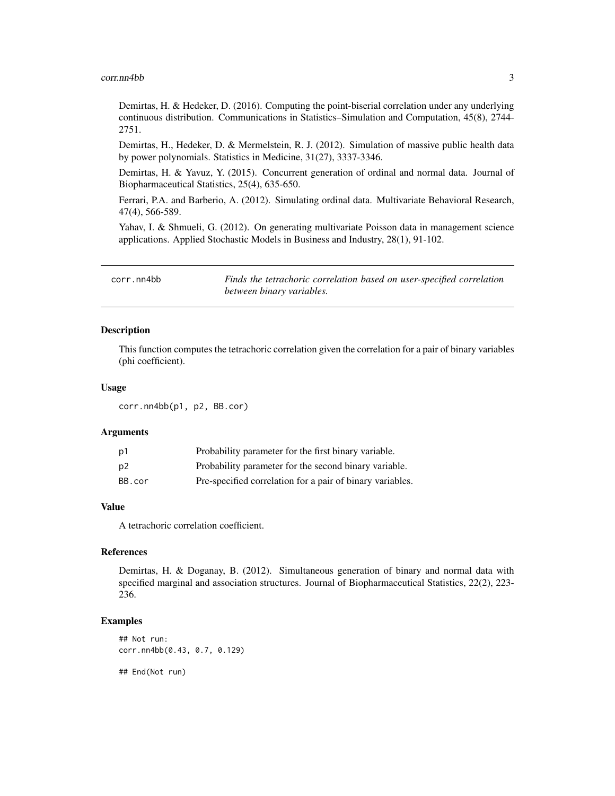#### <span id="page-2-0"></span>corr.nn4bb 3

Demirtas, H. & Hedeker, D. (2016). Computing the point-biserial correlation under any underlying continuous distribution. Communications in Statistics–Simulation and Computation, 45(8), 2744- 2751.

Demirtas, H., Hedeker, D. & Mermelstein, R. J. (2012). Simulation of massive public health data by power polynomials. Statistics in Medicine, 31(27), 3337-3346.

Demirtas, H. & Yavuz, Y. (2015). Concurrent generation of ordinal and normal data. Journal of Biopharmaceutical Statistics, 25(4), 635-650.

Ferrari, P.A. and Barberio, A. (2012). Simulating ordinal data. Multivariate Behavioral Research, 47(4), 566-589.

Yahav, I. & Shmueli, G. (2012). On generating multivariate Poisson data in management science applications. Applied Stochastic Models in Business and Industry, 28(1), 91-102.

<span id="page-2-1"></span>corr.nn4bb *Finds the tetrachoric correlation based on user-specified correlation between binary variables.*

# Description

This function computes the tetrachoric correlation given the correlation for a pair of binary variables (phi coefficient).

#### Usage

corr.nn4bb(p1, p2, BB.cor)

#### Arguments

| p1             | Probability parameter for the first binary variable.      |
|----------------|-----------------------------------------------------------|
| p <sub>2</sub> | Probability parameter for the second binary variable.     |
| BB.cor         | Pre-specified correlation for a pair of binary variables. |

#### Value

A tetrachoric correlation coefficient.

# References

Demirtas, H. & Doganay, B. (2012). Simultaneous generation of binary and normal data with specified marginal and association structures. Journal of Biopharmaceutical Statistics, 22(2), 223- 236.

#### Examples

```
## Not run:
corr.nn4bb(0.43, 0.7, 0.129)
```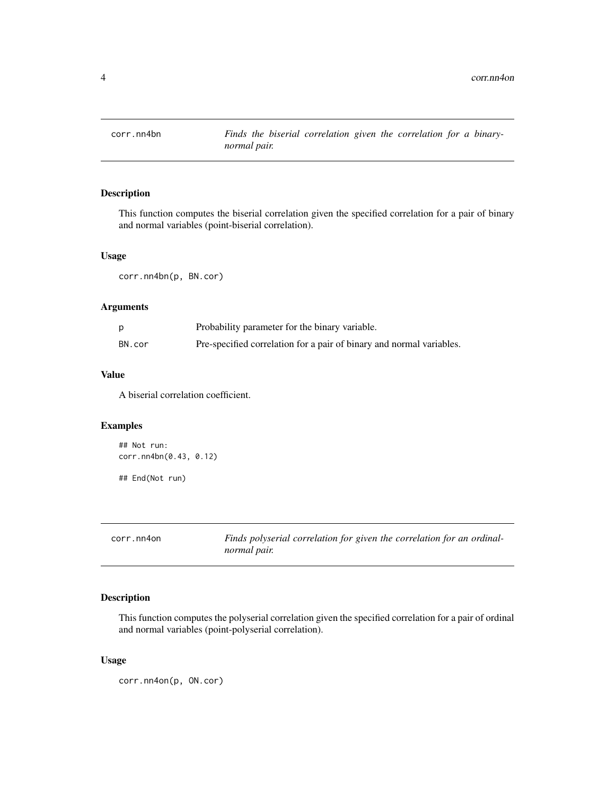<span id="page-3-1"></span><span id="page-3-0"></span>

# Description

This function computes the biserial correlation given the specified correlation for a pair of binary and normal variables (point-biserial correlation).

### Usage

corr.nn4bn(p, BN.cor)

# Arguments

|        | Probability parameter for the binary variable.                       |
|--------|----------------------------------------------------------------------|
| BN.cor | Pre-specified correlation for a pair of binary and normal variables. |

## Value

A biserial correlation coefficient.

# Examples

```
## Not run:
corr.nn4bn(0.43, 0.12)
## End(Not run)
```
<span id="page-3-2"></span>

| corr.nn4on | Finds polyserial correlation for given the correlation for an ordinal- |
|------------|------------------------------------------------------------------------|
|            | normal pair.                                                           |

# Description

This function computes the polyserial correlation given the specified correlation for a pair of ordinal and normal variables (point-polyserial correlation).

# Usage

corr.nn4on(p, ON.cor)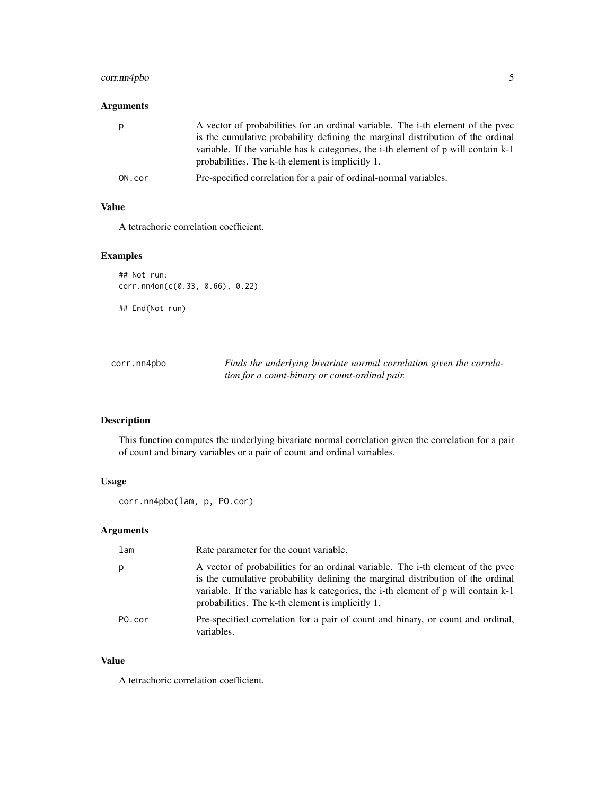# <span id="page-4-0"></span>corr.nn4pbo 5

# Arguments

| p      | A vector of probabilities for an ordinal variable. The <i>i</i> -th element of the pvec<br>is the cumulative probability defining the marginal distribution of the ordinal<br>variable. If the variable has k categories, the i-th element of p will contain k-1<br>probabilities. The k-th element is implicitly 1. |
|--------|----------------------------------------------------------------------------------------------------------------------------------------------------------------------------------------------------------------------------------------------------------------------------------------------------------------------|
| ON.cor | Pre-specified correlation for a pair of ordinal-normal variables.                                                                                                                                                                                                                                                    |

#### Value

A tetrachoric correlation coefficient.

# Examples

```
## Not run:
corr.nn4on(c(0.33, 0.66), 0.22)
## End(Not run)
```
<span id="page-4-1"></span>corr.nn4pbo *Finds the underlying bivariate normal correlation given the correlation for a count-binary or count-ordinal pair.*

# Description

This function computes the underlying bivariate normal correlation given the correlation for a pair of count and binary variables or a pair of count and ordinal variables.

# Usage

```
corr.nn4pbo(lam, p, PO.cor)
```
# Arguments

| lam    | Rate parameter for the count variable.                                                                                                                                                                                                                                                                       |
|--------|--------------------------------------------------------------------------------------------------------------------------------------------------------------------------------------------------------------------------------------------------------------------------------------------------------------|
| р      | A vector of probabilities for an ordinal variable. The i-th element of the pvec<br>is the cumulative probability defining the marginal distribution of the ordinal<br>variable. If the variable has k categories, the i-th element of p will contain k-1<br>probabilities. The k-th element is implicitly 1. |
| PO.cor | Pre-specified correlation for a pair of count and binary, or count and ordinal,<br>variables.                                                                                                                                                                                                                |

#### Value

A tetrachoric correlation coefficient.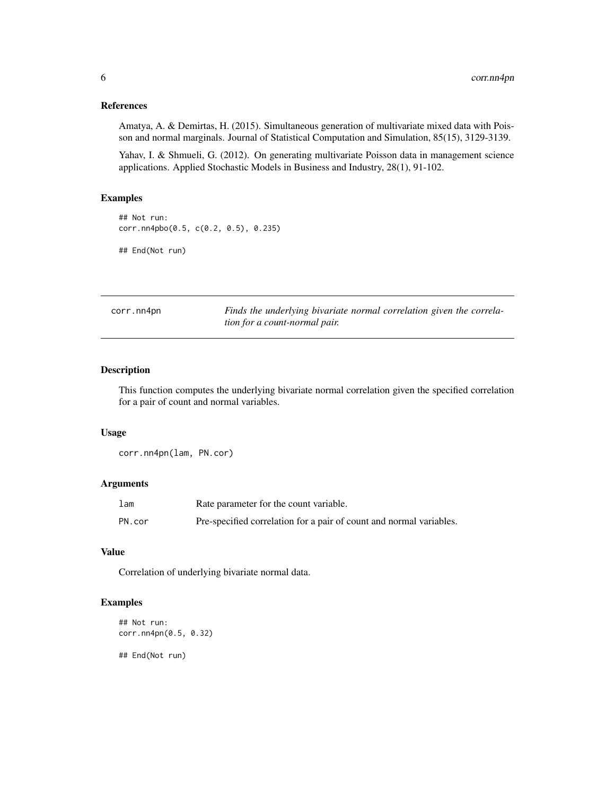#### <span id="page-5-0"></span>References

Amatya, A. & Demirtas, H. (2015). Simultaneous generation of multivariate mixed data with Poisson and normal marginals. Journal of Statistical Computation and Simulation, 85(15), 3129-3139.

Yahav, I. & Shmueli, G. (2012). On generating multivariate Poisson data in management science applications. Applied Stochastic Models in Business and Industry, 28(1), 91-102.

# Examples

## Not run: corr.nn4pbo(0.5, c(0.2, 0.5), 0.235)

## End(Not run)

<span id="page-5-1"></span>corr.nn4pn *Finds the underlying bivariate normal correlation given the correlation for a count-normal pair.*

# Description

This function computes the underlying bivariate normal correlation given the specified correlation for a pair of count and normal variables.

#### Usage

corr.nn4pn(lam, PN.cor)

# Arguments

| 1 <sub>am</sub> | Rate parameter for the count variable.                              |
|-----------------|---------------------------------------------------------------------|
| PN.cor          | Pre-specified correlation for a pair of count and normal variables. |

# Value

Correlation of underlying bivariate normal data.

# Examples

```
## Not run:
corr.nn4pn(0.5, 0.32)
```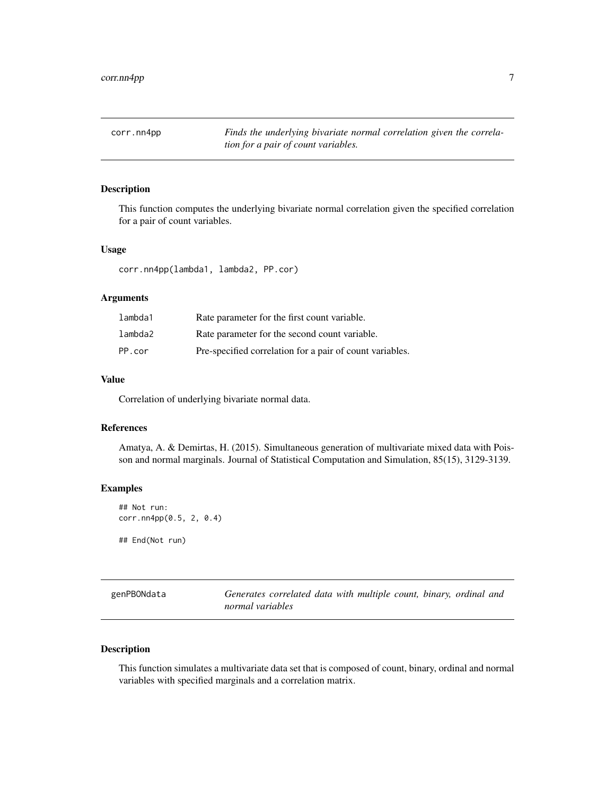<span id="page-6-1"></span><span id="page-6-0"></span>corr.nn4pp *Finds the underlying bivariate normal correlation given the correlation for a pair of count variables.*

# Description

This function computes the underlying bivariate normal correlation given the specified correlation for a pair of count variables.

#### Usage

corr.nn4pp(lambda1, lambda2, PP.cor)

# Arguments

| lambda1 | Rate parameter for the first count variable.             |
|---------|----------------------------------------------------------|
| lambda2 | Rate parameter for the second count variable.            |
| PP.cor  | Pre-specified correlation for a pair of count variables. |

#### Value

Correlation of underlying bivariate normal data.

# References

Amatya, A. & Demirtas, H. (2015). Simultaneous generation of multivariate mixed data with Poisson and normal marginals. Journal of Statistical Computation and Simulation, 85(15), 3129-3139.

# Examples

```
## Not run:
corr.nn4pp(0.5, 2, 0.4)
## End(Not run)
```
<span id="page-6-2"></span>

| genPBONdata | Generates correlated data with multiple count, binary, ordinal and |
|-------------|--------------------------------------------------------------------|
|             | normal variables                                                   |

# Description

This function simulates a multivariate data set that is composed of count, binary, ordinal and normal variables with specified marginals and a correlation matrix.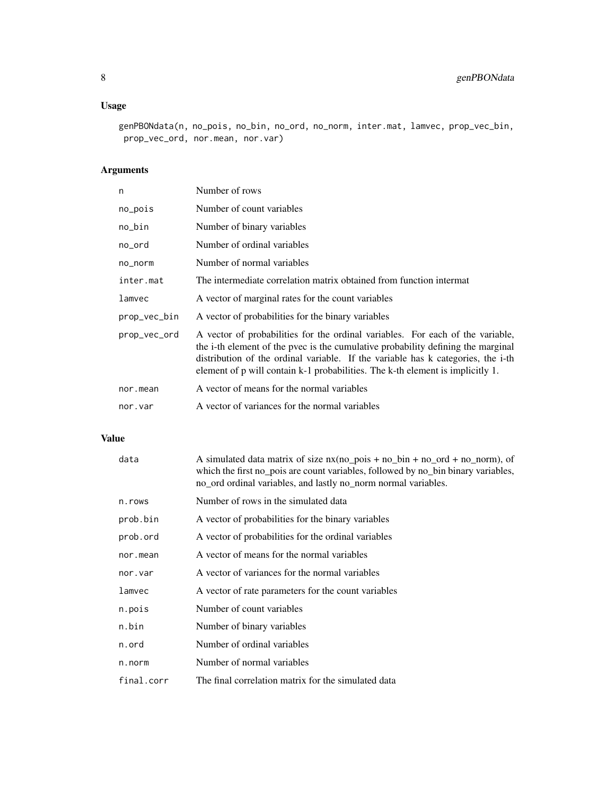# Usage

```
genPBONdata(n, no_pois, no_bin, no_ord, no_norm, inter.mat, lamvec, prop_vec_bin,
 prop_vec_ord, nor.mean, nor.var)
```
# Arguments

| n            | Number of rows                                                                                                                                                                                                                                                                                                                           |
|--------------|------------------------------------------------------------------------------------------------------------------------------------------------------------------------------------------------------------------------------------------------------------------------------------------------------------------------------------------|
| no_pois      | Number of count variables                                                                                                                                                                                                                                                                                                                |
| no_bin       | Number of binary variables                                                                                                                                                                                                                                                                                                               |
| no_ord       | Number of ordinal variables                                                                                                                                                                                                                                                                                                              |
| no_norm      | Number of normal variables                                                                                                                                                                                                                                                                                                               |
| inter.mat    | The intermediate correlation matrix obtained from function intermat                                                                                                                                                                                                                                                                      |
| lamvec       | A vector of marginal rates for the count variables                                                                                                                                                                                                                                                                                       |
| prop_vec_bin | A vector of probabilities for the binary variables                                                                                                                                                                                                                                                                                       |
| prop_vec_ord | A vector of probabilities for the ordinal variables. For each of the variable,<br>the i-th element of the pyec is the cumulative probability defining the marginal<br>distribution of the ordinal variable. If the variable has k categories, the i-th<br>element of p will contain k-1 probabilities. The k-th element is implicitly 1. |
| nor.mean     | A vector of means for the normal variables                                                                                                                                                                                                                                                                                               |
| nor.var      | A vector of variances for the normal variables                                                                                                                                                                                                                                                                                           |

# Value

| data       | A simulated data matrix of size $nx(no_pois + no_bin + no_ord + no_porm)$ , of<br>which the first no pois are count variables, followed by no bin binary variables,<br>no_ord ordinal variables, and lastly no_norm normal variables. |
|------------|---------------------------------------------------------------------------------------------------------------------------------------------------------------------------------------------------------------------------------------|
| n.rows     | Number of rows in the simulated data                                                                                                                                                                                                  |
| prob.bin   | A vector of probabilities for the binary variables                                                                                                                                                                                    |
| prob.ord   | A vector of probabilities for the ordinal variables                                                                                                                                                                                   |
| nor.mean   | A vector of means for the normal variables                                                                                                                                                                                            |
| nor.var    | A vector of variances for the normal variables                                                                                                                                                                                        |
| lamvec     | A vector of rate parameters for the count variables                                                                                                                                                                                   |
| n.pois     | Number of count variables                                                                                                                                                                                                             |
| n.bin      | Number of binary variables                                                                                                                                                                                                            |
| n.ord      | Number of ordinal variables                                                                                                                                                                                                           |
| n.norm     | Number of normal variables                                                                                                                                                                                                            |
| final.corr | The final correlation matrix for the simulated data                                                                                                                                                                                   |
|            |                                                                                                                                                                                                                                       |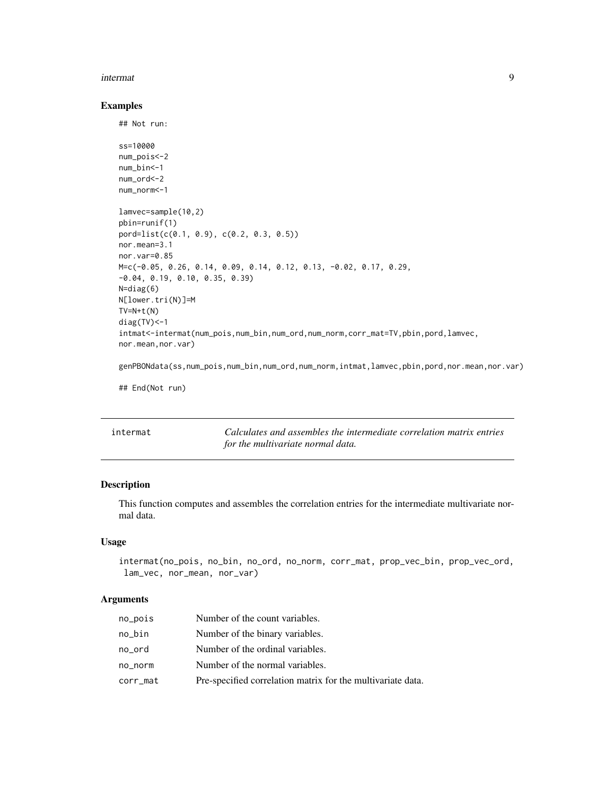#### <span id="page-8-0"></span>intermat 9

#### Examples

## Not run:

```
ss=10000
num_pois<-2
num_bin<-1
num_ord<-2
num_norm<-1
lamvec=sample(10,2)
pbin=runif(1)
pord=list(c(0.1, 0.9), c(0.2, 0.3, 0.5))
nor.mean=3.1
nor.var=0.85
M=c(-0.05, 0.26, 0.14, 0.09, 0.14, 0.12, 0.13, -0.02, 0.17, 0.29,
-0.04, 0.19, 0.10, 0.35, 0.39)
N=diag(6)
N[lower.tri(N)]=M
TV=N+t(N)diag(TV)<-1
intmat<-intermat(num_pois,num_bin,num_ord,num_norm,corr_mat=TV,pbin,pord,lamvec,
nor.mean,nor.var)
genPBONdata(ss,num_pois,num_bin,num_ord,num_norm,intmat,lamvec,pbin,pord,nor.mean,nor.var)
```
## End(Not run)

<span id="page-8-1"></span>intermat *Calculates and assembles the intermediate correlation matrix entries for the multivariate normal data.*

# Description

This function computes and assembles the correlation entries for the intermediate multivariate normal data.

# Usage

```
intermat(no_pois, no_bin, no_ord, no_norm, corr_mat, prop_vec_bin, prop_vec_ord,
lam_vec, nor_mean, nor_var)
```
#### Arguments

| no_pois  | Number of the count variables.                              |
|----------|-------------------------------------------------------------|
| no_bin   | Number of the binary variables.                             |
| no ord   | Number of the ordinal variables.                            |
| no_norm  | Number of the normal variables.                             |
| corr_mat | Pre-specified correlation matrix for the multivariate data. |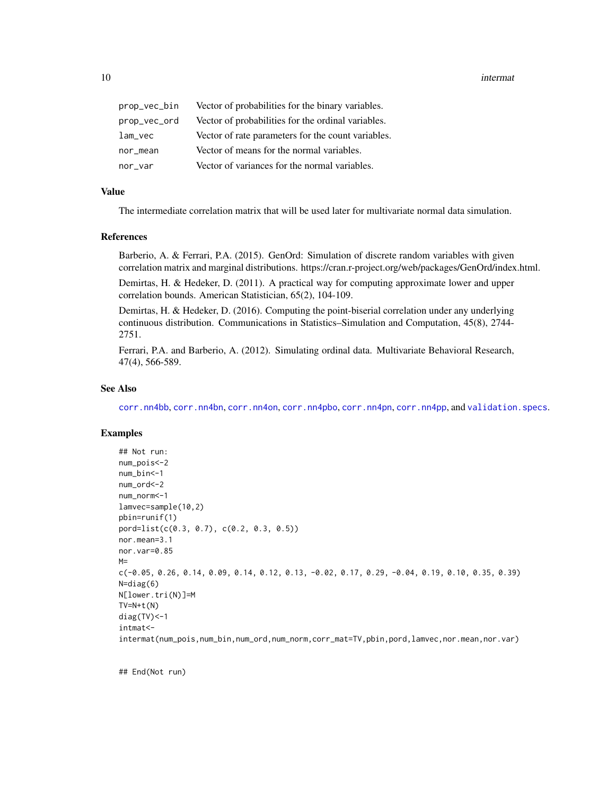<span id="page-9-0"></span>10 intermation and the contract of the contract of the contract of the contract of the contract of the contract of the contract of the contract of the contract of the contract of the contract of the contract of the contrac

| prop_vec_bin | Vector of probabilities for the binary variables.  |
|--------------|----------------------------------------------------|
| prop_vec_ord | Vector of probabilities for the ordinal variables. |
| lam_vec      | Vector of rate parameters for the count variables. |
| nor_mean     | Vector of means for the normal variables.          |
| nor var      | Vector of variances for the normal variables.      |

# Value

The intermediate correlation matrix that will be used later for multivariate normal data simulation.

#### References

Barberio, A. & Ferrari, P.A. (2015). GenOrd: Simulation of discrete random variables with given correlation matrix and marginal distributions. https://cran.r-project.org/web/packages/GenOrd/index.html.

Demirtas, H. & Hedeker, D. (2011). A practical way for computing approximate lower and upper correlation bounds. American Statistician, 65(2), 104-109.

Demirtas, H. & Hedeker, D. (2016). Computing the point-biserial correlation under any underlying continuous distribution. Communications in Statistics–Simulation and Computation, 45(8), 2744- 2751.

Ferrari, P.A. and Barberio, A. (2012). Simulating ordinal data. Multivariate Behavioral Research, 47(4), 566-589.

# See Also

[corr.nn4bb](#page-2-1), [corr.nn4bn](#page-3-1), [corr.nn4on](#page-3-2), [corr.nn4pbo](#page-4-1), [corr.nn4pn](#page-5-1), [corr.nn4pp](#page-6-1), and [validation.specs](#page-10-1).

# Examples

```
## Not run:
num_pois<-2
num_bin<-1
num_ord<-2
num_norm<-1
lamvec=sample(10,2)
pbin=runif(1)
pord=list(c(0.3, 0.7), c(0.2, 0.3, 0.5))
nor.mean=3.1
nor.var=0.85
M =c(-0.05, 0.26, 0.14, 0.09, 0.14, 0.12, 0.13, -0.02, 0.17, 0.29, -0.04, 0.19, 0.10, 0.35, 0.39)
N=diag(6)N[lower.tri(N)]=M
TV=N+t(N)diag(TV)<-1
intmat<-
intermat(num_pois,num_bin,num_ord,num_norm,corr_mat=TV,pbin,pord,lamvec,nor.mean,nor.var)
```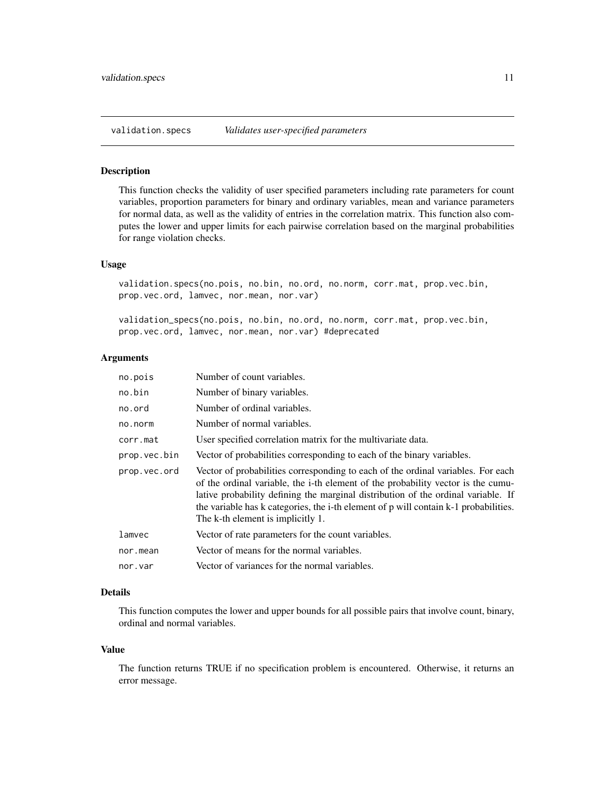<span id="page-10-1"></span><span id="page-10-0"></span>

#### Description

This function checks the validity of user specified parameters including rate parameters for count variables, proportion parameters for binary and ordinary variables, mean and variance parameters for normal data, as well as the validity of entries in the correlation matrix. This function also computes the lower and upper limits for each pairwise correlation based on the marginal probabilities for range violation checks.

# Usage

validation.specs(no.pois, no.bin, no.ord, no.norm, corr.mat, prop.vec.bin, prop.vec.ord, lamvec, nor.mean, nor.var)

validation\_specs(no.pois, no.bin, no.ord, no.norm, corr.mat, prop.vec.bin, prop.vec.ord, lamvec, nor.mean, nor.var) #deprecated

#### Arguments

| no.pois      | Number of count variables.                                                                                                                                                                                                                                                                                                                                                             |
|--------------|----------------------------------------------------------------------------------------------------------------------------------------------------------------------------------------------------------------------------------------------------------------------------------------------------------------------------------------------------------------------------------------|
| no.bin       | Number of binary variables.                                                                                                                                                                                                                                                                                                                                                            |
| no.ord       | Number of ordinal variables.                                                                                                                                                                                                                                                                                                                                                           |
| no.norm      | Number of normal variables.                                                                                                                                                                                                                                                                                                                                                            |
| corr.mat     | User specified correlation matrix for the multivariate data.                                                                                                                                                                                                                                                                                                                           |
| prop.vec.bin | Vector of probabilities corresponding to each of the binary variables.                                                                                                                                                                                                                                                                                                                 |
| prop.vec.ord | Vector of probabilities corresponding to each of the ordinal variables. For each<br>of the ordinal variable, the i-th element of the probability vector is the cumu-<br>lative probability defining the marginal distribution of the ordinal variable. If<br>the variable has k categories, the i-th element of p will contain k-1 probabilities.<br>The k-th element is implicitly 1. |
| lamvec       | Vector of rate parameters for the count variables.                                                                                                                                                                                                                                                                                                                                     |
| nor.mean     | Vector of means for the normal variables.                                                                                                                                                                                                                                                                                                                                              |
| nor.var      | Vector of variances for the normal variables.                                                                                                                                                                                                                                                                                                                                          |
|              |                                                                                                                                                                                                                                                                                                                                                                                        |

# Details

This function computes the lower and upper bounds for all possible pairs that involve count, binary, ordinal and normal variables.

#### Value

The function returns TRUE if no specification problem is encountered. Otherwise, it returns an error message.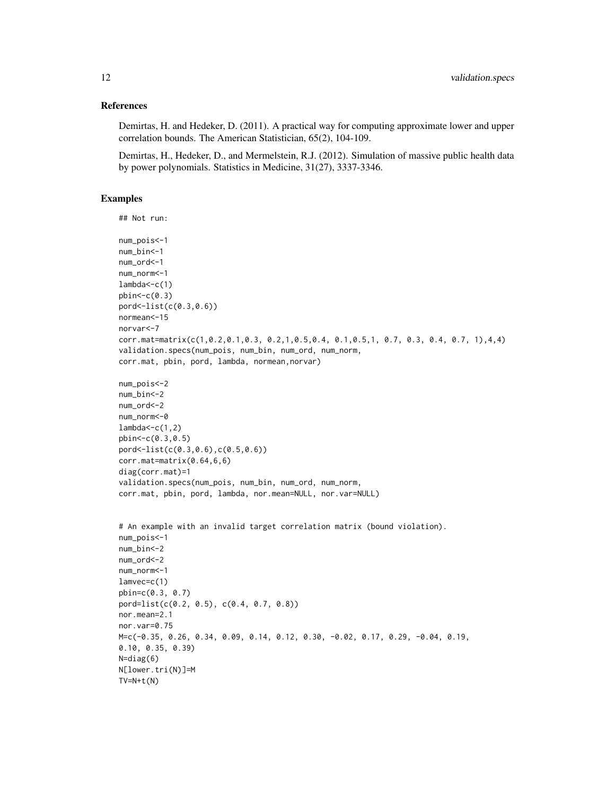#### References

Demirtas, H. and Hedeker, D. (2011). A practical way for computing approximate lower and upper correlation bounds. The American Statistician, 65(2), 104-109.

Demirtas, H., Hedeker, D., and Mermelstein, R.J. (2012). Simulation of massive public health data by power polynomials. Statistics in Medicine, 31(27), 3337-3346.

#### Examples

```
## Not run:
num_pois<-1
num_bin<-1
num_ord<-1
num_norm<-1
lambda<-c(1)
phin < -c(0.3)pord<-list(c(0.3,0.6))
normean<-15
norvar<-7
corr.mat=matrix(c(1,0.2,0.1,0.3, 0.2,1,0.5,0.4, 0.1,0.5,1, 0.7, 0.3, 0.4, 0.7, 1),4,4)
validation.specs(num_pois, num_bin, num_ord, num_norm,
corr.mat, pbin, pord, lambda, normean,norvar)
num_pois<-2
num_bin<-2
num_ord<-2
num_norm<-0
lambda < -c(1,2)pbin<-c(0.3,0.5)
pord<-list(c(0.3,0.6),c(0.5,0.6))
corr.mat=matrix(0.64,6,6)
diag(corr.mat)=1
validation.specs(num_pois, num_bin, num_ord, num_norm,
corr.mat, pbin, pord, lambda, nor.mean=NULL, nor.var=NULL)
# An example with an invalid target correlation matrix (bound violation).
num_pois<-1
num_bin<-2
num_ord<-2
num_norm<-1
lamvec=c(1)
pbin=c(0.3, 0.7)
pord=list(c(0.2, 0.5), c(0.4, 0.7, 0.8))
nor.mean=2.1
nor.var=0.75
M=c(-0.35, 0.26, 0.34, 0.09, 0.14, 0.12, 0.30, -0.02, 0.17, 0.29, -0.04, 0.19,
0.10, 0.35, 0.39)
N=diag(6)
N[lower.tri(N)]=M
TV=N+t(N)
```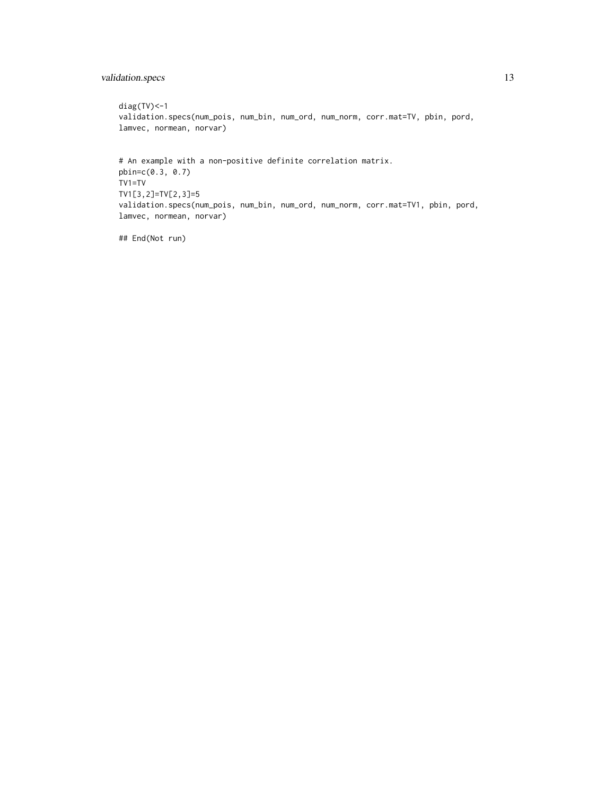# validation.specs 13

```
diag(TV) <-1
validation.specs(num_pois, num_bin, num_ord, num_norm, corr.mat=TV, pbin, pord,
lamvec, normean, norvar)
# An example with a non-positive definite correlation matrix.
pbin=c(0.3, 0.7)
TV1=TV
TV1[3,2]=TV[2,3]=5
validation.specs(num_pois, num_bin, num_ord, num_norm, corr.mat=TV1, pbin, pord,
lamvec, normean, norvar)
```